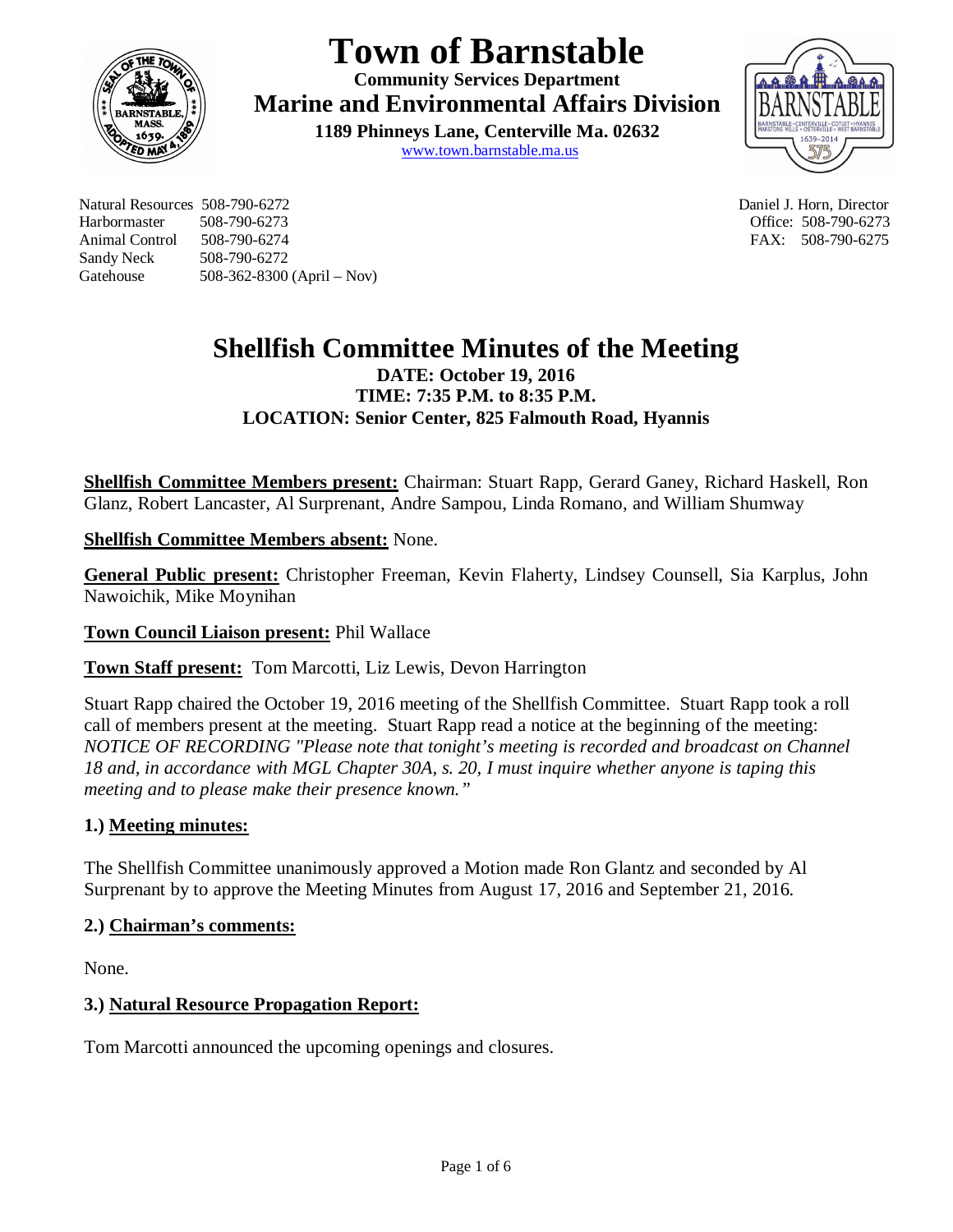

# **Town of Barnstable**

**Community Services Department Marine and Environmental Affairs Division** 

**1189 Phinneys Lane, Centerville Ma. 02632** www.town.barnstable.ma.us



Natural Resources 508-790-6272 Daniel J. Horn, Director Harbormaster 508-790-6273 Office: 508-790-6273 Animal Control 508-790-6274 **FAX: 508-790-6275** Sandy Neck 508-790-6272 Gatehouse 508-362-8300 (April – Nov)

# **Shellfish Committee Minutes of the Meeting DATE: October 19, 2016 TIME: 7:35 P.M. to 8:35 P.M. LOCATION: Senior Center, 825 Falmouth Road, Hyannis**

**Shellfish Committee Members present:** Chairman: Stuart Rapp, Gerard Ganey, Richard Haskell, Ron Glanz, Robert Lancaster, Al Surprenant, Andre Sampou, Linda Romano, and William Shumway

**Shellfish Committee Members absent:** None.

**General Public present:** Christopher Freeman, Kevin Flaherty, Lindsey Counsell, Sia Karplus, John Nawoichik, Mike Moynihan

**Town Council Liaison present:** Phil Wallace

**Town Staff present:** Tom Marcotti, Liz Lewis, Devon Harrington

Stuart Rapp chaired the October 19, 2016 meeting of the Shellfish Committee. Stuart Rapp took a roll call of members present at the meeting. Stuart Rapp read a notice at the beginning of the meeting: *NOTICE OF RECORDING "Please note that tonight's meeting is recorded and broadcast on Channel 18 and, in accordance with MGL Chapter 30A, s. 20, I must inquire whether anyone is taping this meeting and to please make their presence known."*

# **1.) Meeting minutes:**

The Shellfish Committee unanimously approved a Motion made Ron Glantz and seconded by Al Surprenant by to approve the Meeting Minutes from August 17, 2016 and September 21, 2016.

# **2.) Chairman's comments:**

None.

# **3.) Natural Resource Propagation Report:**

Tom Marcotti announced the upcoming openings and closures.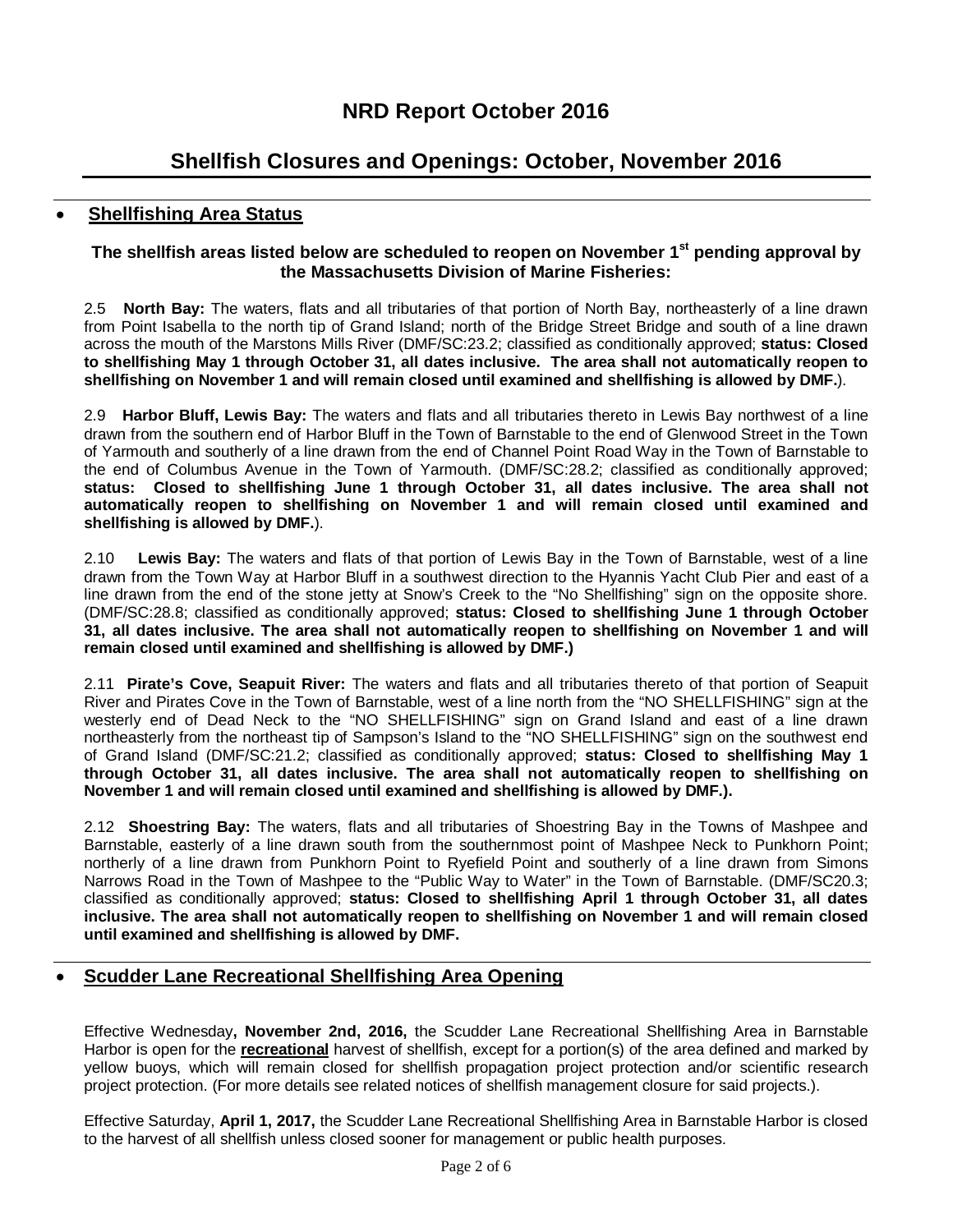# **Shellfish Closures and Openings: October, November 2016**

## **Shellfishing Area Status**

#### **The shellfish areas listed below are scheduled to reopen on November 1st pending approval by the Massachusetts Division of Marine Fisheries:**

2.5 **North Bay:** The waters, flats and all tributaries of that portion of North Bay, northeasterly of a line drawn from Point Isabella to the north tip of Grand Island; north of the Bridge Street Bridge and south of a line drawn across the mouth of the Marstons Mills River (DMF/SC:23.2; classified as conditionally approved; **status: Closed to shellfishing May 1 through October 31, all dates inclusive. The area shall not automatically reopen to shellfishing on November 1 and will remain closed until examined and shellfishing is allowed by DMF.**).

2.9 **Harbor Bluff, Lewis Bay:** The waters and flats and all tributaries thereto in Lewis Bay northwest of a line drawn from the southern end of Harbor Bluff in the Town of Barnstable to the end of Glenwood Street in the Town of Yarmouth and southerly of a line drawn from the end of Channel Point Road Way in the Town of Barnstable to the end of Columbus Avenue in the Town of Yarmouth. (DMF/SC:28.2; classified as conditionally approved; **status: Closed to shellfishing June 1 through October 31, all dates inclusive. The area shall not automatically reopen to shellfishing on November 1 and will remain closed until examined and shellfishing is allowed by DMF.**).

2.10 **Lewis Bay:** The waters and flats of that portion of Lewis Bay in the Town of Barnstable, west of a line drawn from the Town Way at Harbor Bluff in a southwest direction to the Hyannis Yacht Club Pier and east of a line drawn from the end of the stone jetty at Snow's Creek to the "No Shellfishing" sign on the opposite shore. (DMF/SC:28.8; classified as conditionally approved; **status: Closed to shellfishing June 1 through October 31, all dates inclusive. The area shall not automatically reopen to shellfishing on November 1 and will remain closed until examined and shellfishing is allowed by DMF.)**

2.11 **Pirate's Cove, Seapuit River:** The waters and flats and all tributaries thereto of that portion of Seapuit River and Pirates Cove in the Town of Barnstable, west of a line north from the "NO SHELLFISHING" sign at the westerly end of Dead Neck to the "NO SHELLFISHING" sign on Grand Island and east of a line drawn northeasterly from the northeast tip of Sampson's Island to the "NO SHELLFISHING" sign on the southwest end of Grand Island (DMF/SC:21.2; classified as conditionally approved; **status: Closed to shellfishing May 1 through October 31, all dates inclusive. The area shall not automatically reopen to shellfishing on November 1 and will remain closed until examined and shellfishing is allowed by DMF.).** 

2.12 **Shoestring Bay:** The waters, flats and all tributaries of Shoestring Bay in the Towns of Mashpee and Barnstable, easterly of a line drawn south from the southernmost point of Mashpee Neck to Punkhorn Point; northerly of a line drawn from Punkhorn Point to Ryefield Point and southerly of a line drawn from Simons Narrows Road in the Town of Mashpee to the "Public Way to Water" in the Town of Barnstable. (DMF/SC20.3; classified as conditionally approved; **status: Closed to shellfishing April 1 through October 31, all dates inclusive. The area shall not automatically reopen to shellfishing on November 1 and will remain closed until examined and shellfishing is allowed by DMF.**

# **Scudder Lane Recreational Shellfishing Area Opening**

Effective Wednesday**, November 2nd, 2016,** the Scudder Lane Recreational Shellfishing Area in Barnstable Harbor is open for the **recreational** harvest of shellfish, except for a portion(s) of the area defined and marked by yellow buoys, which will remain closed for shellfish propagation project protection and/or scientific research project protection. (For more details see related notices of shellfish management closure for said projects.).

Effective Saturday, **April 1, 2017,** the Scudder Lane Recreational Shellfishing Area in Barnstable Harbor is closed to the harvest of all shellfish unless closed sooner for management or public health purposes.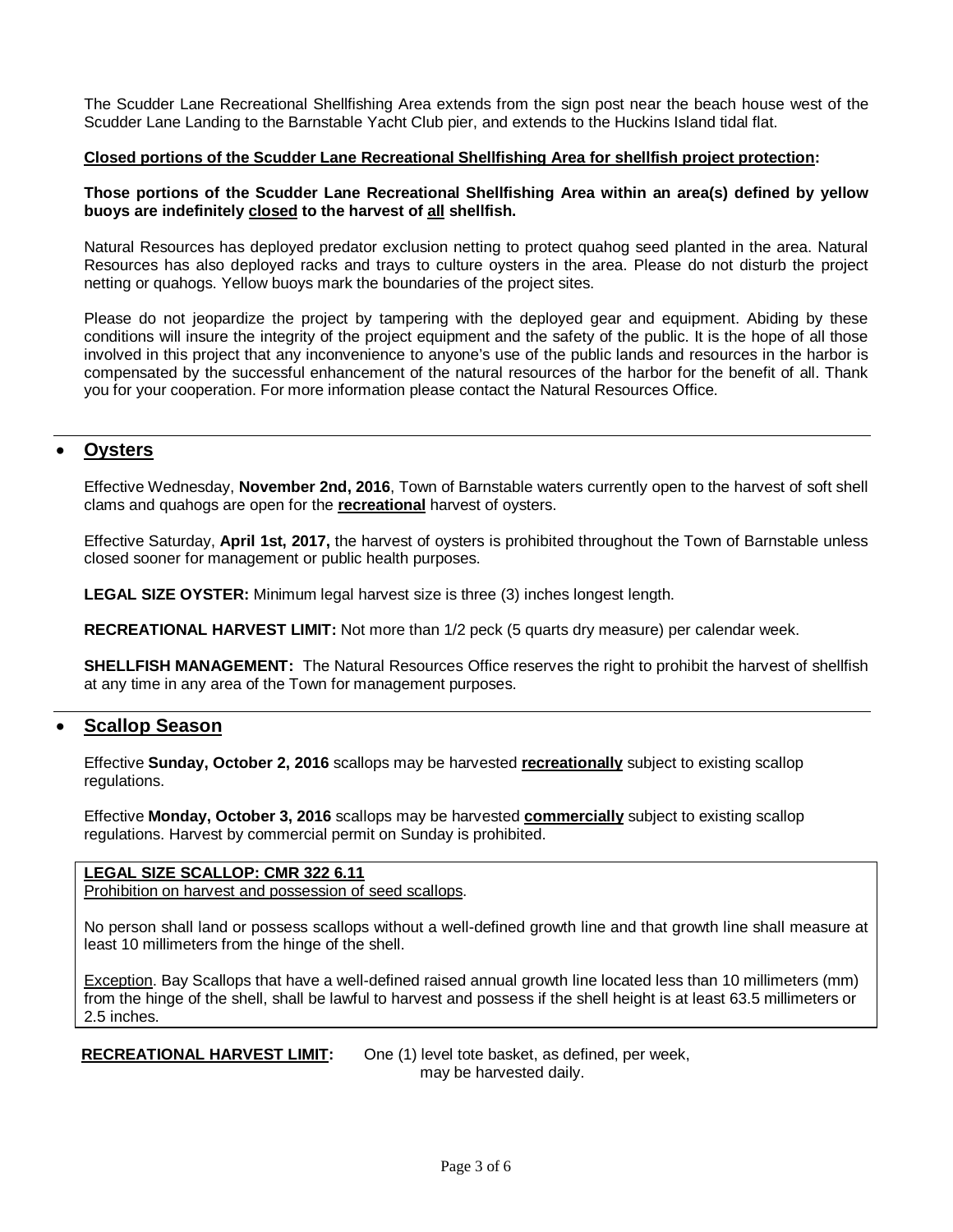The Scudder Lane Recreational Shellfishing Area extends from the sign post near the beach house west of the Scudder Lane Landing to the Barnstable Yacht Club pier, and extends to the Huckins Island tidal flat.

#### **Closed portions of the Scudder Lane Recreational Shellfishing Area for shellfish project protection:**

#### **Those portions of the Scudder Lane Recreational Shellfishing Area within an area(s) defined by yellow buoys are indefinitely closed to the harvest of all shellfish.**

Natural Resources has deployed predator exclusion netting to protect quahog seed planted in the area. Natural Resources has also deployed racks and trays to culture oysters in the area. Please do not disturb the project netting or quahogs. Yellow buoys mark the boundaries of the project sites.

Please do not jeopardize the project by tampering with the deployed gear and equipment. Abiding by these conditions will insure the integrity of the project equipment and the safety of the public. It is the hope of all those involved in this project that any inconvenience to anyone's use of the public lands and resources in the harbor is compensated by the successful enhancement of the natural resources of the harbor for the benefit of all. Thank you for your cooperation. For more information please contact the Natural Resources Office.

### **Oysters**

Effective Wednesday, **November 2nd, 2016**, Town of Barnstable waters currently open to the harvest of soft shell clams and quahogs are open for the **recreational** harvest of oysters.

Effective Saturday, **April 1st, 2017,** the harvest of oysters is prohibited throughout the Town of Barnstable unless closed sooner for management or public health purposes.

**LEGAL SIZE OYSTER:** Minimum legal harvest size is three (3) inches longest length.

**RECREATIONAL HARVEST LIMIT:** Not more than 1/2 peck (5 quarts dry measure) per calendar week.

**SHELLFISH MANAGEMENT:** The Natural Resources Office reserves the right to prohibit the harvest of shellfish at any time in any area of the Town for management purposes.

#### **Scallop Season**

Effective **Sunday, October 2, 2016** scallops may be harvested **recreationally** subject to existing scallop regulations.

Effective **Monday, October 3, 2016** scallops may be harvested **commercially** subject to existing scallop regulations. Harvest by commercial permit on Sunday is prohibited.

#### **LEGAL SIZE SCALLOP: CMR 322 6.11**

Prohibition on harvest and possession of seed scallops.

No person shall land or possess scallops without a well-defined growth line and that growth line shall measure at least 10 millimeters from the hinge of the shell.

Exception. Bay Scallops that have a well-defined raised annual growth line located less than 10 millimeters (mm) from the hinge of the shell, shall be lawful to harvest and possess if the shell height is at least 63.5 millimeters or 2.5 inches.

**RECREATIONAL HARVEST LIMIT:** One (1) level tote basket, as defined, per week, may be harvested daily.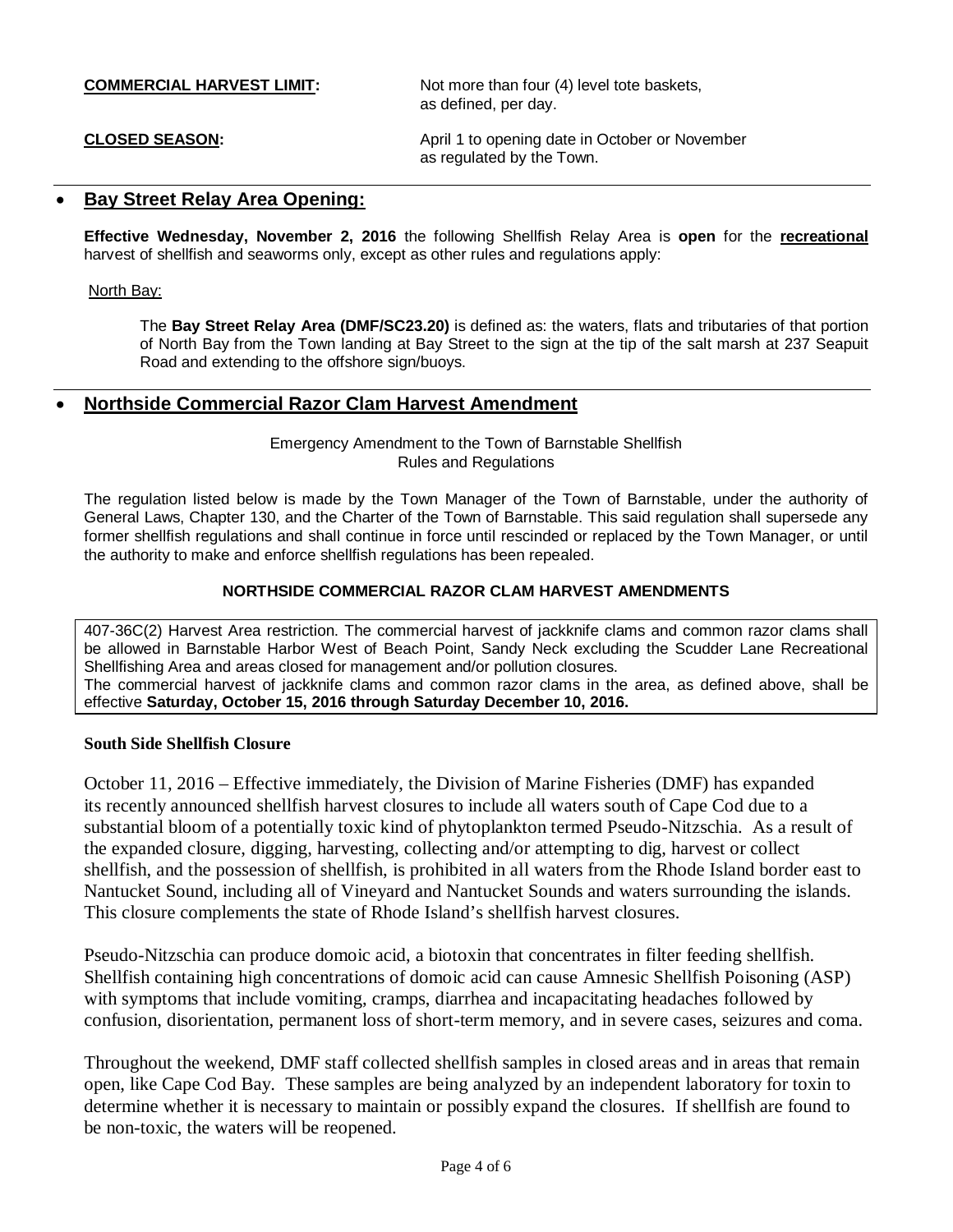**COMMERCIAL HARVEST LIMIT:** Not more than four (4) level tote baskets, as defined, per day.

**CLOSED SEASON:** April 1 to opening date in October or November as regulated by the Town.

#### **Bay Street Relay Area Opening:**

**Effective Wednesday, November 2, 2016** the following Shellfish Relay Area is **open** for the **recreational** harvest of shellfish and seaworms only, except as other rules and regulations apply:

#### North Bay:

The **Bay Street Relay Area (DMF/SC23.20)** is defined as: the waters, flats and tributaries of that portion of North Bay from the Town landing at Bay Street to the sign at the tip of the salt marsh at 237 Seapuit Road and extending to the offshore sign/buoys.

### **Northside Commercial Razor Clam Harvest Amendment**

Emergency Amendment to the Town of Barnstable Shellfish Rules and Regulations

The regulation listed below is made by the Town Manager of the Town of Barnstable, under the authority of General Laws, Chapter 130, and the Charter of the Town of Barnstable. This said regulation shall supersede any former shellfish regulations and shall continue in force until rescinded or replaced by the Town Manager, or until the authority to make and enforce shellfish regulations has been repealed.

#### **NORTHSIDE COMMERCIAL RAZOR CLAM HARVEST AMENDMENTS**

407-36C(2) Harvest Area restriction. The commercial harvest of jackknife clams and common razor clams shall be allowed in Barnstable Harbor West of Beach Point, Sandy Neck excluding the Scudder Lane Recreational Shellfishing Area and areas closed for management and/or pollution closures. The commercial harvest of jackknife clams and common razor clams in the area, as defined above, shall be effective **Saturday, October 15, 2016 through Saturday December 10, 2016.**

#### **South Side Shellfish Closure**

October 11, 2016 – Effective immediately, the Division of Marine Fisheries (DMF) has expanded its recently announced shellfish harvest closures to include all waters south of Cape Cod due to a substantial bloom of a potentially toxic kind of phytoplankton termed Pseudo-Nitzschia. As a result of the expanded closure, digging, harvesting, collecting and/or attempting to dig, harvest or collect shellfish, and the possession of shellfish, is prohibited in all waters from the Rhode Island border east to Nantucket Sound, including all of Vineyard and Nantucket Sounds and waters surrounding the islands. This closure complements the state of Rhode Island's shellfish harvest closures.

Pseudo-Nitzschia can produce domoic acid, a biotoxin that concentrates in filter feeding shellfish. Shellfish containing high concentrations of domoic acid can cause Amnesic Shellfish Poisoning (ASP) with symptoms that include vomiting, cramps, diarrhea and incapacitating headaches followed by confusion, disorientation, permanent loss of short-term memory, and in severe cases, seizures and coma.

Throughout the weekend, DMF staff collected shellfish samples in closed areas and in areas that remain open, like Cape Cod Bay. These samples are being analyzed by an independent laboratory for toxin to determine whether it is necessary to maintain or possibly expand the closures. If shellfish are found to be non-toxic, the waters will be reopened.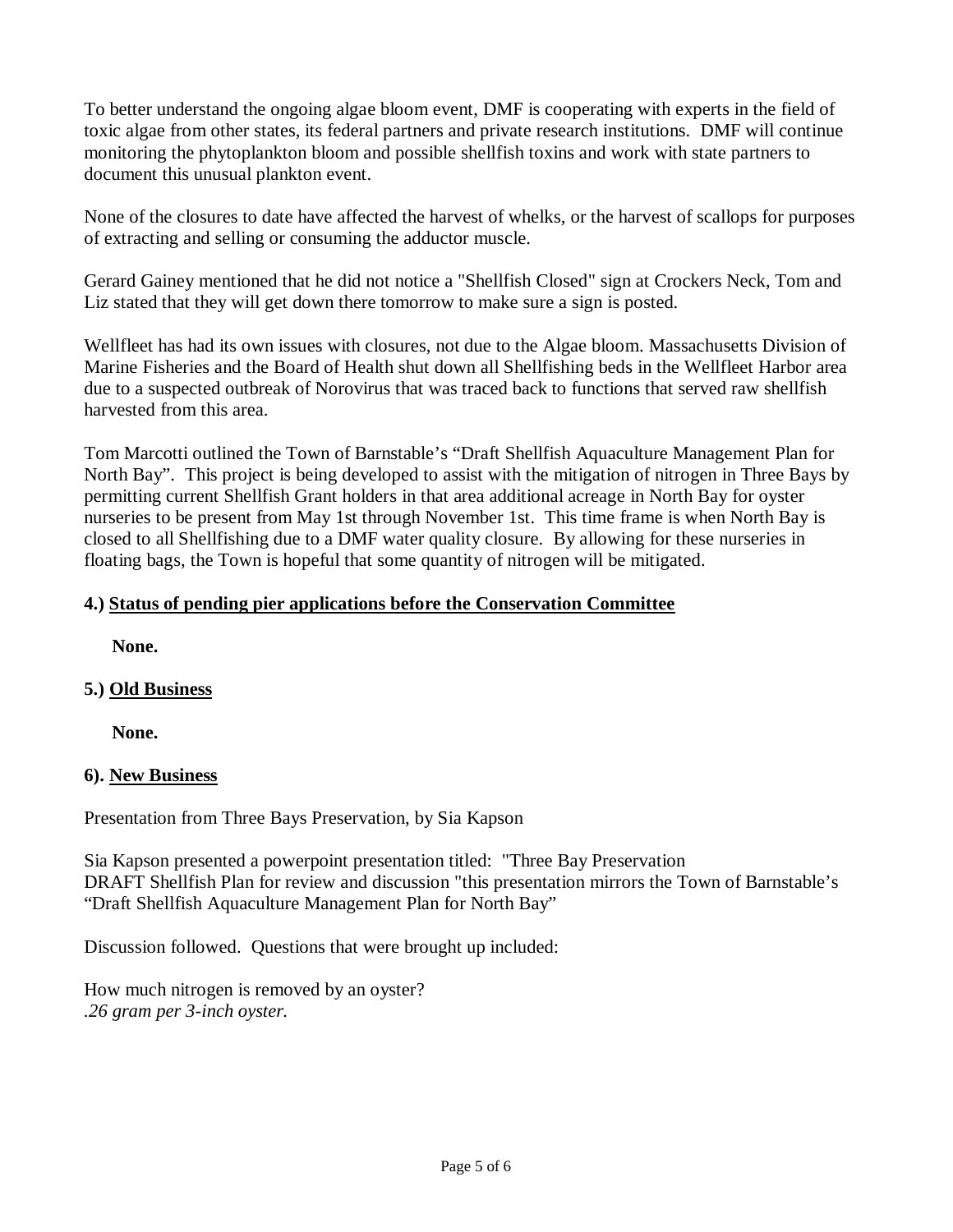To better understand the ongoing algae bloom event, DMF is cooperating with experts in the field of toxic algae from other states, its federal partners and private research institutions. DMF will continue monitoring the phytoplankton bloom and possible shellfish toxins and work with state partners to document this unusual plankton event.

None of the closures to date have affected the harvest of whelks, or the harvest of scallops for purposes of extracting and selling or consuming the adductor muscle.

Gerard Gainey mentioned that he did not notice a "Shellfish Closed" sign at Crockers Neck, Tom and Liz stated that they will get down there tomorrow to make sure a sign is posted.

Wellfleet has had its own issues with closures, not due to the Algae bloom. Massachusetts Division of Marine Fisheries and the Board of Health shut down all Shellfishing beds in the Wellfleet Harbor area due to a suspected outbreak of Norovirus that was traced back to functions that served raw shellfish harvested from this area.

Tom Marcotti outlined the Town of Barnstable's "Draft Shellfish Aquaculture Management Plan for North Bay". This project is being developed to assist with the mitigation of nitrogen in Three Bays by permitting current Shellfish Grant holders in that area additional acreage in North Bay for oyster nurseries to be present from May 1st through November 1st. This time frame is when North Bay is closed to all Shellfishing due to a DMF water quality closure. By allowing for these nurseries in floating bags, the Town is hopeful that some quantity of nitrogen will be mitigated.

# **4.) Status of pending pier applications before the Conservation Committee**

**None.**

# **5.) Old Business**

**None.**

# **6). New Business**

Presentation from Three Bays Preservation, by Sia Kapson

Sia Kapson presented a powerpoint presentation titled: "Three Bay Preservation DRAFT Shellfish Plan for review and discussion "this presentation mirrors the Town of Barnstable's "Draft Shellfish Aquaculture Management Plan for North Bay"

Discussion followed. Questions that were brought up included:

How much nitrogen is removed by an oyster? *.26 gram per 3-inch oyster.*